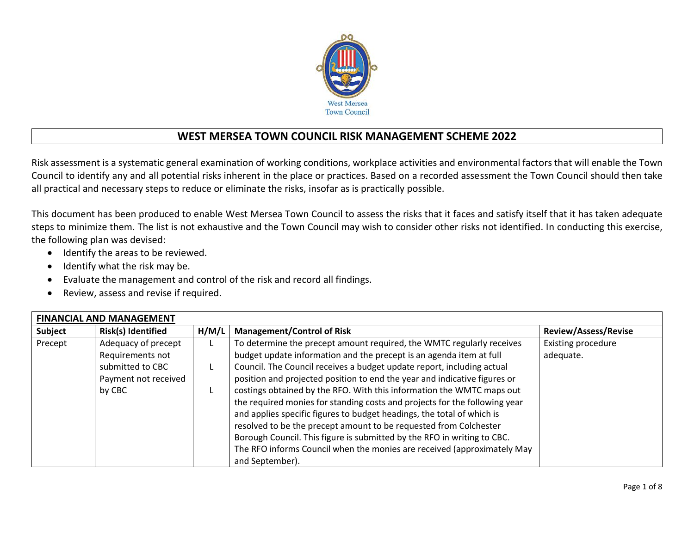

## **WEST MERSEA TOWN COUNCIL RISK MANAGEMENT SCHEME 2022**

Risk assessment is a systematic general examination of working conditions, workplace activities and environmental factors that will enable the Town Council to identify any and all potential risks inherent in the place or practices. Based on a recorded assessment the Town Council should then take all practical and necessary steps to reduce or eliminate the risks, insofar as is practically possible.

This document has been produced to enable West Mersea Town Council to assess the risks that it faces and satisfy itself that it has taken adequate steps to minimize them. The list is not exhaustive and the Town Council may wish to consider other risks not identified. In conducting this exercise, the following plan was devised:

- Identify the areas to be reviewed.
- Identify what the risk may be.
- Evaluate the management and control of the risk and record all findings.
- Review, assess and revise if required.

| <b>FINANCIAL AND MANAGEMENT</b> |                      |       |                                                                            |                             |  |  |
|---------------------------------|----------------------|-------|----------------------------------------------------------------------------|-----------------------------|--|--|
| <b>Subject</b>                  | Risk(s) Identified   | H/M/L | <b>Management/Control of Risk</b>                                          | <b>Review/Assess/Revise</b> |  |  |
| Precept                         | Adequacy of precept  |       | To determine the precept amount required, the WMTC regularly receives      | <b>Existing procedure</b>   |  |  |
|                                 | Requirements not     |       | budget update information and the precept is an agenda item at full        | adequate.                   |  |  |
|                                 | submitted to CBC     |       | Council. The Council receives a budget update report, including actual     |                             |  |  |
|                                 | Payment not received |       | position and projected position to end the year and indicative figures or  |                             |  |  |
|                                 | by CBC               |       | costings obtained by the RFO. With this information the WMTC maps out      |                             |  |  |
|                                 |                      |       | the required monies for standing costs and projects for the following year |                             |  |  |
|                                 |                      |       | and applies specific figures to budget headings, the total of which is     |                             |  |  |
|                                 |                      |       | resolved to be the precept amount to be requested from Colchester          |                             |  |  |
|                                 |                      |       | Borough Council. This figure is submitted by the RFO in writing to CBC.    |                             |  |  |
|                                 |                      |       | The RFO informs Council when the monies are received (approximately May    |                             |  |  |
|                                 |                      |       | and September).                                                            |                             |  |  |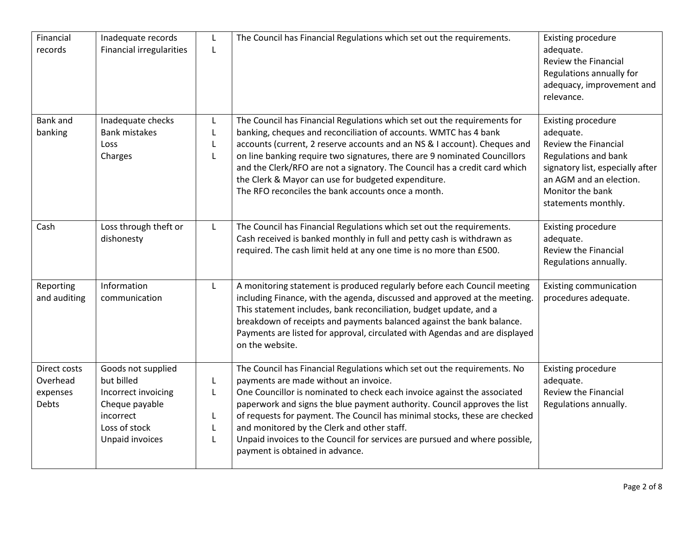| Financial<br>records                                 | Inadequate records<br><b>Financial irregularities</b>                                                                      | L<br>$\mathsf{L}$                | The Council has Financial Regulations which set out the requirements.                                                                                                                                                                                                                                                                                                                                                                                                                                                     | <b>Existing procedure</b><br>adequate.<br><b>Review the Financial</b><br>Regulations annually for<br>adequacy, improvement and<br>relevance.                                                            |
|------------------------------------------------------|----------------------------------------------------------------------------------------------------------------------------|----------------------------------|---------------------------------------------------------------------------------------------------------------------------------------------------------------------------------------------------------------------------------------------------------------------------------------------------------------------------------------------------------------------------------------------------------------------------------------------------------------------------------------------------------------------------|---------------------------------------------------------------------------------------------------------------------------------------------------------------------------------------------------------|
| <b>Bank and</b><br>banking                           | Inadequate checks<br><b>Bank mistakes</b><br>Loss<br>Charges                                                               | L<br>L<br>L<br>L                 | The Council has Financial Regulations which set out the requirements for<br>banking, cheques and reconciliation of accounts. WMTC has 4 bank<br>accounts (current, 2 reserve accounts and an NS & I account). Cheques and<br>on line banking require two signatures, there are 9 nominated Councillors<br>and the Clerk/RFO are not a signatory. The Council has a credit card which<br>the Clerk & Mayor can use for budgeted expenditure.<br>The RFO reconciles the bank accounts once a month.                         | <b>Existing procedure</b><br>adequate.<br><b>Review the Financial</b><br>Regulations and bank<br>signatory list, especially after<br>an AGM and an election.<br>Monitor the bank<br>statements monthly. |
| Cash                                                 | Loss through theft or<br>dishonesty                                                                                        | L                                | The Council has Financial Regulations which set out the requirements.<br>Cash received is banked monthly in full and petty cash is withdrawn as<br>required. The cash limit held at any one time is no more than £500.                                                                                                                                                                                                                                                                                                    | <b>Existing procedure</b><br>adequate.<br><b>Review the Financial</b><br>Regulations annually.                                                                                                          |
| Reporting<br>and auditing                            | Information<br>communication                                                                                               | L                                | A monitoring statement is produced regularly before each Council meeting<br>including Finance, with the agenda, discussed and approved at the meeting.<br>This statement includes, bank reconciliation, budget update, and a<br>breakdown of receipts and payments balanced against the bank balance.<br>Payments are listed for approval, circulated with Agendas and are displayed<br>on the website.                                                                                                                   | <b>Existing communication</b><br>procedures adequate.                                                                                                                                                   |
| Direct costs<br>Overhead<br>expenses<br><b>Debts</b> | Goods not supplied<br>but billed<br>Incorrect invoicing<br>Cheque payable<br>incorrect<br>Loss of stock<br>Unpaid invoices | L<br>L<br>L<br>$\mathsf{L}$<br>L | The Council has Financial Regulations which set out the requirements. No<br>payments are made without an invoice.<br>One Councillor is nominated to check each invoice against the associated<br>paperwork and signs the blue payment authority. Council approves the list<br>of requests for payment. The Council has minimal stocks, these are checked<br>and monitored by the Clerk and other staff.<br>Unpaid invoices to the Council for services are pursued and where possible,<br>payment is obtained in advance. | <b>Existing procedure</b><br>adequate.<br>Review the Financial<br>Regulations annually.                                                                                                                 |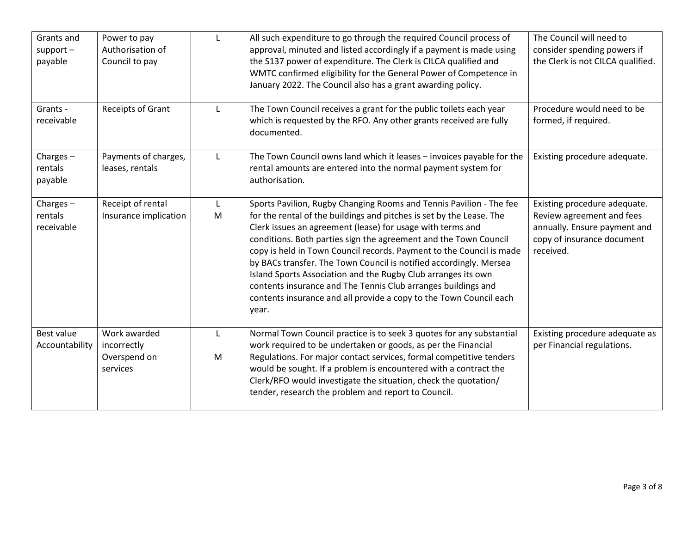| Grants and<br>$support -$<br>payable | Power to pay<br>Authorisation of<br>Council to pay      | L              | All such expenditure to go through the required Council process of<br>approval, minuted and listed accordingly if a payment is made using<br>the S137 power of expenditure. The Clerk is CILCA qualified and<br>WMTC confirmed eligibility for the General Power of Competence in<br>January 2022. The Council also has a grant awarding policy.                                                                                                                                                                                                                                                                                             | The Council will need to<br>consider spending powers if<br>the Clerk is not CILCA qualified.                                         |
|--------------------------------------|---------------------------------------------------------|----------------|----------------------------------------------------------------------------------------------------------------------------------------------------------------------------------------------------------------------------------------------------------------------------------------------------------------------------------------------------------------------------------------------------------------------------------------------------------------------------------------------------------------------------------------------------------------------------------------------------------------------------------------------|--------------------------------------------------------------------------------------------------------------------------------------|
| Grants -<br>receivable               | Receipts of Grant                                       | L              | The Town Council receives a grant for the public toilets each year<br>which is requested by the RFO. Any other grants received are fully<br>documented.                                                                                                                                                                                                                                                                                                                                                                                                                                                                                      | Procedure would need to be<br>formed, if required.                                                                                   |
| Charges $-$<br>rentals<br>payable    | Payments of charges,<br>leases, rentals                 | L              | The Town Council owns land which it leases - invoices payable for the<br>rental amounts are entered into the normal payment system for<br>authorisation.                                                                                                                                                                                                                                                                                                                                                                                                                                                                                     | Existing procedure adequate.                                                                                                         |
| Charges $-$<br>rentals<br>receivable | Receipt of rental<br>Insurance implication              | L<br>${\sf M}$ | Sports Pavilion, Rugby Changing Rooms and Tennis Pavilion - The fee<br>for the rental of the buildings and pitches is set by the Lease. The<br>Clerk issues an agreement (lease) for usage with terms and<br>conditions. Both parties sign the agreement and the Town Council<br>copy is held in Town Council records. Payment to the Council is made<br>by BACs transfer. The Town Council is notified accordingly. Mersea<br>Island Sports Association and the Rugby Club arranges its own<br>contents insurance and The Tennis Club arranges buildings and<br>contents insurance and all provide a copy to the Town Council each<br>year. | Existing procedure adequate.<br>Review agreement and fees<br>annually. Ensure payment and<br>copy of insurance document<br>received. |
| <b>Best value</b><br>Accountability  | Work awarded<br>incorrectly<br>Overspend on<br>services | L<br>M         | Normal Town Council practice is to seek 3 quotes for any substantial<br>work required to be undertaken or goods, as per the Financial<br>Regulations. For major contact services, formal competitive tenders<br>would be sought. If a problem is encountered with a contract the<br>Clerk/RFO would investigate the situation, check the quotation/<br>tender, research the problem and report to Council.                                                                                                                                                                                                                                   | Existing procedure adequate as<br>per Financial regulations.                                                                         |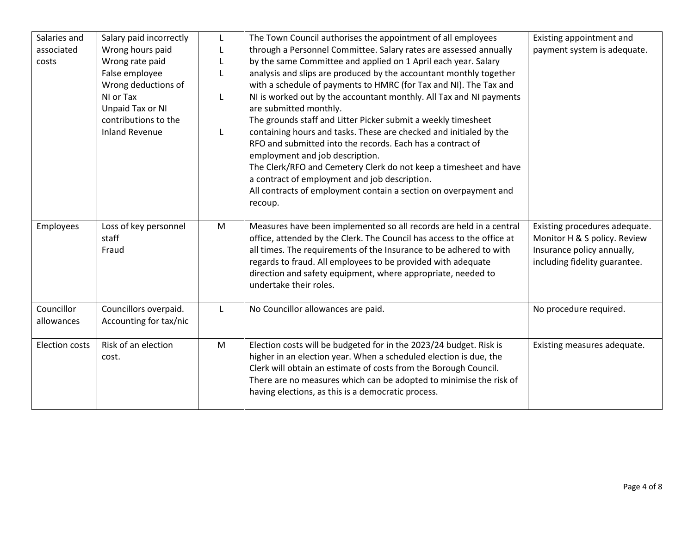| Salaries and          | Salary paid incorrectly | L | The Town Council authorises the appointment of all employees                                                                            | Existing appointment and      |
|-----------------------|-------------------------|---|-----------------------------------------------------------------------------------------------------------------------------------------|-------------------------------|
| associated            | Wrong hours paid        |   | through a Personnel Committee. Salary rates are assessed annually                                                                       | payment system is adequate.   |
| costs                 | Wrong rate paid         |   | by the same Committee and applied on 1 April each year. Salary                                                                          |                               |
|                       | False employee          |   | analysis and slips are produced by the accountant monthly together                                                                      |                               |
|                       | Wrong deductions of     |   | with a schedule of payments to HMRC (for Tax and NI). The Tax and                                                                       |                               |
|                       | NI or Tax               |   | NI is worked out by the accountant monthly. All Tax and NI payments                                                                     |                               |
|                       | Unpaid Tax or NI        |   | are submitted monthly.                                                                                                                  |                               |
|                       | contributions to the    |   | The grounds staff and Litter Picker submit a weekly timesheet                                                                           |                               |
|                       | <b>Inland Revenue</b>   | L | containing hours and tasks. These are checked and initialed by the                                                                      |                               |
|                       |                         |   | RFO and submitted into the records. Each has a contract of                                                                              |                               |
|                       |                         |   | employment and job description.                                                                                                         |                               |
|                       |                         |   | The Clerk/RFO and Cemetery Clerk do not keep a timesheet and have                                                                       |                               |
|                       |                         |   | a contract of employment and job description.                                                                                           |                               |
|                       |                         |   | All contracts of employment contain a section on overpayment and                                                                        |                               |
|                       |                         |   | recoup.                                                                                                                                 |                               |
|                       |                         |   |                                                                                                                                         |                               |
| Employees             | Loss of key personnel   | M | Measures have been implemented so all records are held in a central                                                                     | Existing procedures adequate. |
|                       | staff                   |   | office, attended by the Clerk. The Council has access to the office at                                                                  | Monitor H & S policy. Review  |
|                       | Fraud                   |   | all times. The requirements of the Insurance to be adhered to with                                                                      | Insurance policy annually,    |
|                       |                         |   | regards to fraud. All employees to be provided with adequate                                                                            | including fidelity guarantee. |
|                       |                         |   | direction and safety equipment, where appropriate, needed to                                                                            |                               |
|                       |                         |   | undertake their roles.                                                                                                                  |                               |
|                       |                         |   |                                                                                                                                         |                               |
| Councillor            | Councillors overpaid.   | L | No Councillor allowances are paid.                                                                                                      | No procedure required.        |
| allowances            | Accounting for tax/nic  |   |                                                                                                                                         |                               |
| <b>Election costs</b> | Risk of an election     |   |                                                                                                                                         |                               |
|                       | cost.                   | M | Election costs will be budgeted for in the 2023/24 budget. Risk is<br>higher in an election year. When a scheduled election is due, the | Existing measures adequate.   |
|                       |                         |   | Clerk will obtain an estimate of costs from the Borough Council.                                                                        |                               |
|                       |                         |   | There are no measures which can be adopted to minimise the risk of                                                                      |                               |
|                       |                         |   | having elections, as this is a democratic process.                                                                                      |                               |
|                       |                         |   |                                                                                                                                         |                               |
|                       |                         |   |                                                                                                                                         |                               |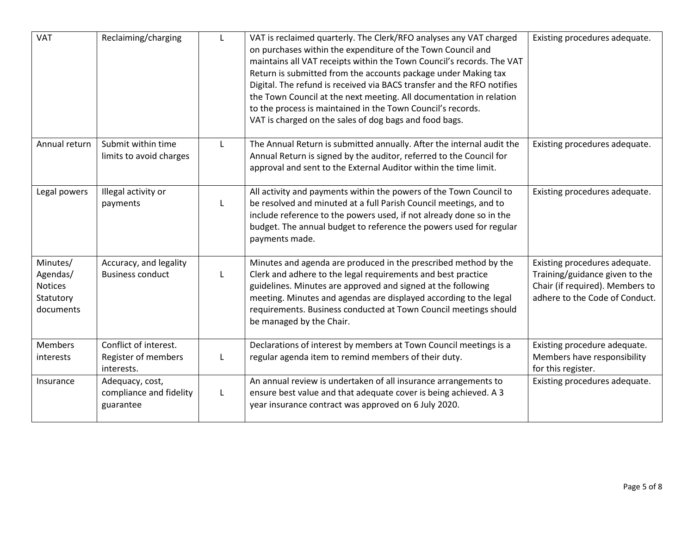| <b>VAT</b>                                                | Reclaiming/charging                                        | L | VAT is reclaimed quarterly. The Clerk/RFO analyses any VAT charged<br>on purchases within the expenditure of the Town Council and<br>maintains all VAT receipts within the Town Council's records. The VAT<br>Return is submitted from the accounts package under Making tax<br>Digital. The refund is received via BACS transfer and the RFO notifies<br>the Town Council at the next meeting. All documentation in relation<br>to the process is maintained in the Town Council's records.<br>VAT is charged on the sales of dog bags and food bags. | Existing procedures adequate.                                                                                                        |
|-----------------------------------------------------------|------------------------------------------------------------|---|--------------------------------------------------------------------------------------------------------------------------------------------------------------------------------------------------------------------------------------------------------------------------------------------------------------------------------------------------------------------------------------------------------------------------------------------------------------------------------------------------------------------------------------------------------|--------------------------------------------------------------------------------------------------------------------------------------|
| Annual return                                             | Submit within time<br>limits to avoid charges              | L | The Annual Return is submitted annually. After the internal audit the<br>Annual Return is signed by the auditor, referred to the Council for<br>approval and sent to the External Auditor within the time limit.                                                                                                                                                                                                                                                                                                                                       | Existing procedures adequate.                                                                                                        |
| Legal powers                                              | Illegal activity or<br>payments                            | L | All activity and payments within the powers of the Town Council to<br>be resolved and minuted at a full Parish Council meetings, and to<br>include reference to the powers used, if not already done so in the<br>budget. The annual budget to reference the powers used for regular<br>payments made.                                                                                                                                                                                                                                                 | Existing procedures adequate.                                                                                                        |
| Minutes/<br>Agendas/<br>Notices<br>Statutory<br>documents | Accuracy, and legality<br><b>Business conduct</b>          | L | Minutes and agenda are produced in the prescribed method by the<br>Clerk and adhere to the legal requirements and best practice<br>guidelines. Minutes are approved and signed at the following<br>meeting. Minutes and agendas are displayed according to the legal<br>requirements. Business conducted at Town Council meetings should<br>be managed by the Chair.                                                                                                                                                                                   | Existing procedures adequate.<br>Training/guidance given to the<br>Chair (if required). Members to<br>adhere to the Code of Conduct. |
| <b>Members</b><br>interests                               | Conflict of interest.<br>Register of members<br>interests. | L | Declarations of interest by members at Town Council meetings is a<br>regular agenda item to remind members of their duty.                                                                                                                                                                                                                                                                                                                                                                                                                              | Existing procedure adequate.<br>Members have responsibility<br>for this register.                                                    |
| Insurance                                                 | Adequacy, cost,<br>compliance and fidelity<br>guarantee    | L | An annual review is undertaken of all insurance arrangements to<br>ensure best value and that adequate cover is being achieved. A 3<br>year insurance contract was approved on 6 July 2020.                                                                                                                                                                                                                                                                                                                                                            | Existing procedures adequate.                                                                                                        |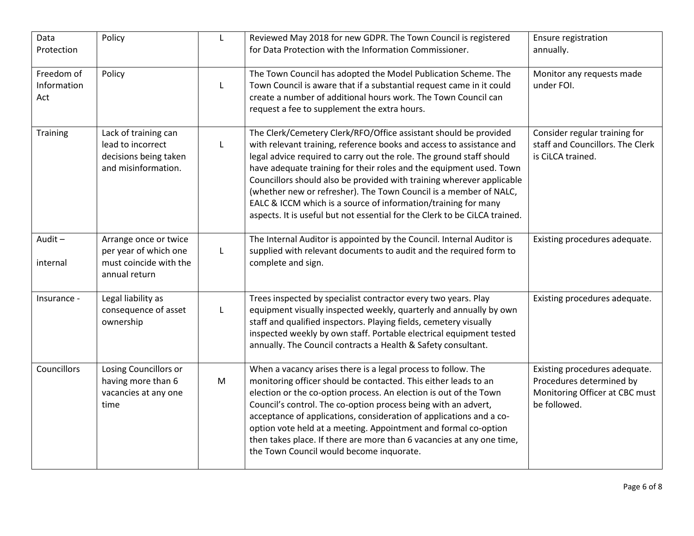| Data<br>Protection               | Policy                                                                                    | $\mathsf{L}$ | Reviewed May 2018 for new GDPR. The Town Council is registered<br>for Data Protection with the Information Commissioner.                                                                                                                                                                                                                                                                                                                                                                                                                                                              | Ensure registration<br>annually.                                                                            |
|----------------------------------|-------------------------------------------------------------------------------------------|--------------|---------------------------------------------------------------------------------------------------------------------------------------------------------------------------------------------------------------------------------------------------------------------------------------------------------------------------------------------------------------------------------------------------------------------------------------------------------------------------------------------------------------------------------------------------------------------------------------|-------------------------------------------------------------------------------------------------------------|
| Freedom of<br>Information<br>Act | Policy                                                                                    | L            | The Town Council has adopted the Model Publication Scheme. The<br>Town Council is aware that if a substantial request came in it could<br>create a number of additional hours work. The Town Council can<br>request a fee to supplement the extra hours.                                                                                                                                                                                                                                                                                                                              | Monitor any requests made<br>under FOI.                                                                     |
| Training                         | Lack of training can<br>lead to incorrect<br>decisions being taken<br>and misinformation. | L            | The Clerk/Cemetery Clerk/RFO/Office assistant should be provided<br>with relevant training, reference books and access to assistance and<br>legal advice required to carry out the role. The ground staff should<br>have adequate training for their roles and the equipment used. Town<br>Councillors should also be provided with training wherever applicable<br>(whether new or refresher). The Town Council is a member of NALC,<br>EALC & ICCM which is a source of information/training for many<br>aspects. It is useful but not essential for the Clerk to be CiLCA trained. | Consider regular training for<br>staff and Councillors. The Clerk<br>is CiLCA trained.                      |
| Audit-<br>internal               | Arrange once or twice<br>per year of which one<br>must coincide with the<br>annual return | L            | The Internal Auditor is appointed by the Council. Internal Auditor is<br>supplied with relevant documents to audit and the required form to<br>complete and sign.                                                                                                                                                                                                                                                                                                                                                                                                                     | Existing procedures adequate.                                                                               |
| Insurance -                      | Legal liability as<br>consequence of asset<br>ownership                                   | L            | Trees inspected by specialist contractor every two years. Play<br>equipment visually inspected weekly, quarterly and annually by own<br>staff and qualified inspectors. Playing fields, cemetery visually<br>inspected weekly by own staff. Portable electrical equipment tested<br>annually. The Council contracts a Health & Safety consultant.                                                                                                                                                                                                                                     | Existing procedures adequate.                                                                               |
| Councillors                      | Losing Councillors or<br>having more than 6<br>vacancies at any one<br>time               | M            | When a vacancy arises there is a legal process to follow. The<br>monitoring officer should be contacted. This either leads to an<br>election or the co-option process. An election is out of the Town<br>Council's control. The co-option process being with an advert,<br>acceptance of applications, consideration of applications and a co-<br>option vote held at a meeting. Appointment and formal co-option<br>then takes place. If there are more than 6 vacancies at any one time,<br>the Town Council would become inquorate.                                                | Existing procedures adequate.<br>Procedures determined by<br>Monitoring Officer at CBC must<br>be followed. |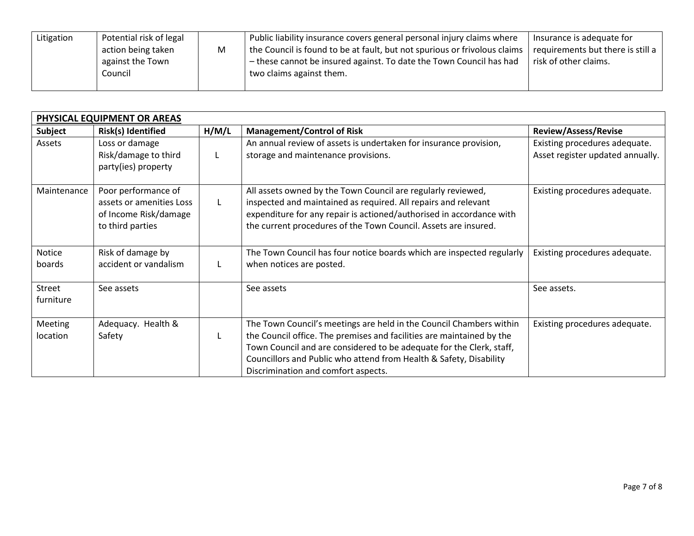| Potential risk of legal<br>Litigation<br>Public liability insurance covers general personal injury claims where<br>Insurance is adequate for<br>the Council is found to be at fault, but not spurious or frivolous claims<br>requirements but there is still a<br>action being taken<br>M<br>- these cannot be insured against. To date the Town Council has had<br>risk of other claims.<br>against the Town<br>Council<br>two claims against them. |  |
|------------------------------------------------------------------------------------------------------------------------------------------------------------------------------------------------------------------------------------------------------------------------------------------------------------------------------------------------------------------------------------------------------------------------------------------------------|--|
|------------------------------------------------------------------------------------------------------------------------------------------------------------------------------------------------------------------------------------------------------------------------------------------------------------------------------------------------------------------------------------------------------------------------------------------------------|--|

| PHYSICAL EQUIPMENT OR AREAS |                                                                                              |       |                                                                                                                                                                                                                                                                                                                                   |                                                                   |  |
|-----------------------------|----------------------------------------------------------------------------------------------|-------|-----------------------------------------------------------------------------------------------------------------------------------------------------------------------------------------------------------------------------------------------------------------------------------------------------------------------------------|-------------------------------------------------------------------|--|
| Subject                     | Risk(s) Identified                                                                           | H/M/L | <b>Management/Control of Risk</b>                                                                                                                                                                                                                                                                                                 | <b>Review/Assess/Revise</b>                                       |  |
| Assets                      | Loss or damage<br>Risk/damage to third<br>party(ies) property                                |       | An annual review of assets is undertaken for insurance provision,<br>storage and maintenance provisions.                                                                                                                                                                                                                          | Existing procedures adequate.<br>Asset register updated annually. |  |
| Maintenance                 | Poor performance of<br>assets or amenities Loss<br>of Income Risk/damage<br>to third parties |       | All assets owned by the Town Council are regularly reviewed,<br>inspected and maintained as required. All repairs and relevant<br>expenditure for any repair is actioned/authorised in accordance with<br>the current procedures of the Town Council. Assets are insured.                                                         | Existing procedures adequate.                                     |  |
| Notice<br>boards            | Risk of damage by<br>accident or vandalism                                                   |       | The Town Council has four notice boards which are inspected regularly<br>when notices are posted.                                                                                                                                                                                                                                 | Existing procedures adequate.                                     |  |
| Street<br>furniture         | See assets                                                                                   |       | See assets                                                                                                                                                                                                                                                                                                                        | See assets.                                                       |  |
| Meeting<br>location         | Adequacy. Health &<br>Safety                                                                 |       | The Town Council's meetings are held in the Council Chambers within<br>the Council office. The premises and facilities are maintained by the<br>Town Council and are considered to be adequate for the Clerk, staff,<br>Councillors and Public who attend from Health & Safety, Disability<br>Discrimination and comfort aspects. | Existing procedures adequate.                                     |  |